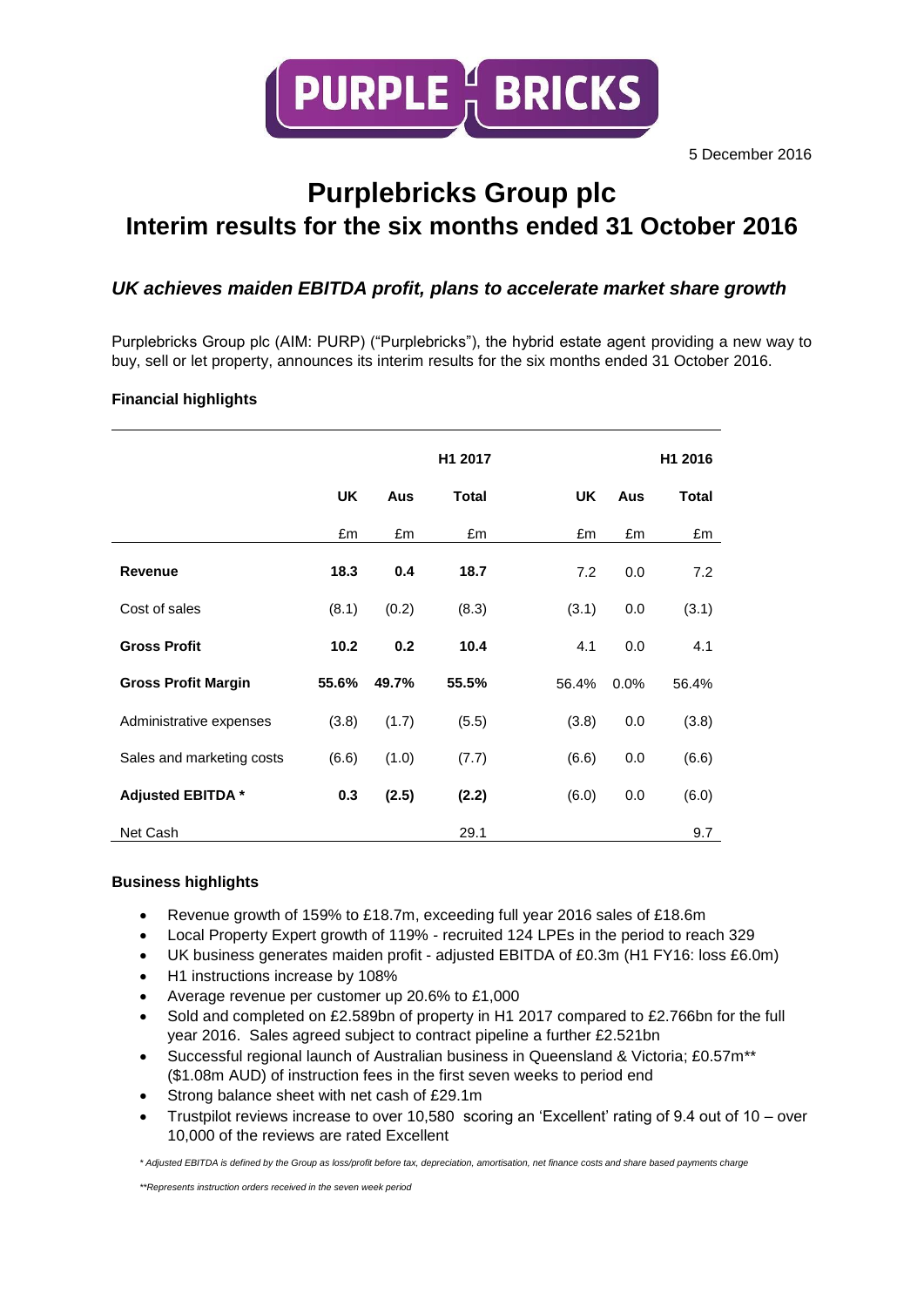

# **Purplebricks Group plc Interim results for the six months ended 31 October 2016**

# *UK achieves maiden EBITDA profit, plans to accelerate market share growth*

Purplebricks Group plc (AIM: PURP) ("Purplebricks"), the hybrid estate agent providing a new way to buy, sell or let property, announces its interim results for the six months ended 31 October 2016.

# **Financial highlights**

|                            |           |       | H1 2017 |           |      | H1 2016      |
|----------------------------|-----------|-------|---------|-----------|------|--------------|
|                            | <b>UK</b> | Aus   | Total   | <b>UK</b> | Aus  | <b>Total</b> |
|                            | £m        | £m    | £m      | £m        | £m   | £m           |
| <b>Revenue</b>             | 18.3      | 0.4   | 18.7    | 7.2       | 0.0  | 7.2          |
| Cost of sales              | (8.1)     | (0.2) | (8.3)   | (3.1)     | 0.0  | (3.1)        |
| <b>Gross Profit</b>        | 10.2      | 0.2   | 10.4    | 4.1       | 0.0  | 4.1          |
| <b>Gross Profit Margin</b> | 55.6%     | 49.7% | 55.5%   | 56.4%     | 0.0% | 56.4%        |
| Administrative expenses    | (3.8)     | (1.7) | (5.5)   | (3.8)     | 0.0  | (3.8)        |
| Sales and marketing costs  | (6.6)     | (1.0) | (7.7)   | (6.6)     | 0.0  | (6.6)        |
| <b>Adjusted EBITDA *</b>   | 0.3       | (2.5) | (2.2)   | (6.0)     | 0.0  | (6.0)        |
| Net Cash                   |           |       | 29.1    |           |      | 9.7          |

# **Business highlights**

- Revenue growth of 159% to £18.7m, exceeding full year 2016 sales of £18.6m
- Local Property Expert growth of 119% recruited 124 LPEs in the period to reach 329
- UK business generates maiden profit adjusted EBITDA of £0.3m (H1 FY16: loss £6.0m)
- H1 instructions increase by 108%
- Average revenue per customer up 20.6% to £1,000
- Sold and completed on £2.589bn of property in H1 2017 compared to £2.766bn for the full year 2016. Sales agreed subject to contract pipeline a further £2.521bn
- Successful regional launch of Australian business in Queensland & Victoria; £0.57m\*\* (\$1.08m AUD) of instruction fees in the first seven weeks to period end
- Strong balance sheet with net cash of £29.1m
- Trustpilot reviews increase to over 10,580 scoring an 'Excellent' rating of 9.4 out of 10 over 10,000 of the reviews are rated Excellent

*\* Adjusted EBITDA is defined by the Group as loss/profit before tax, depreciation, amortisation, net finance costs and share based payments charge*

*\*\*Represents instruction orders received in the seven week period*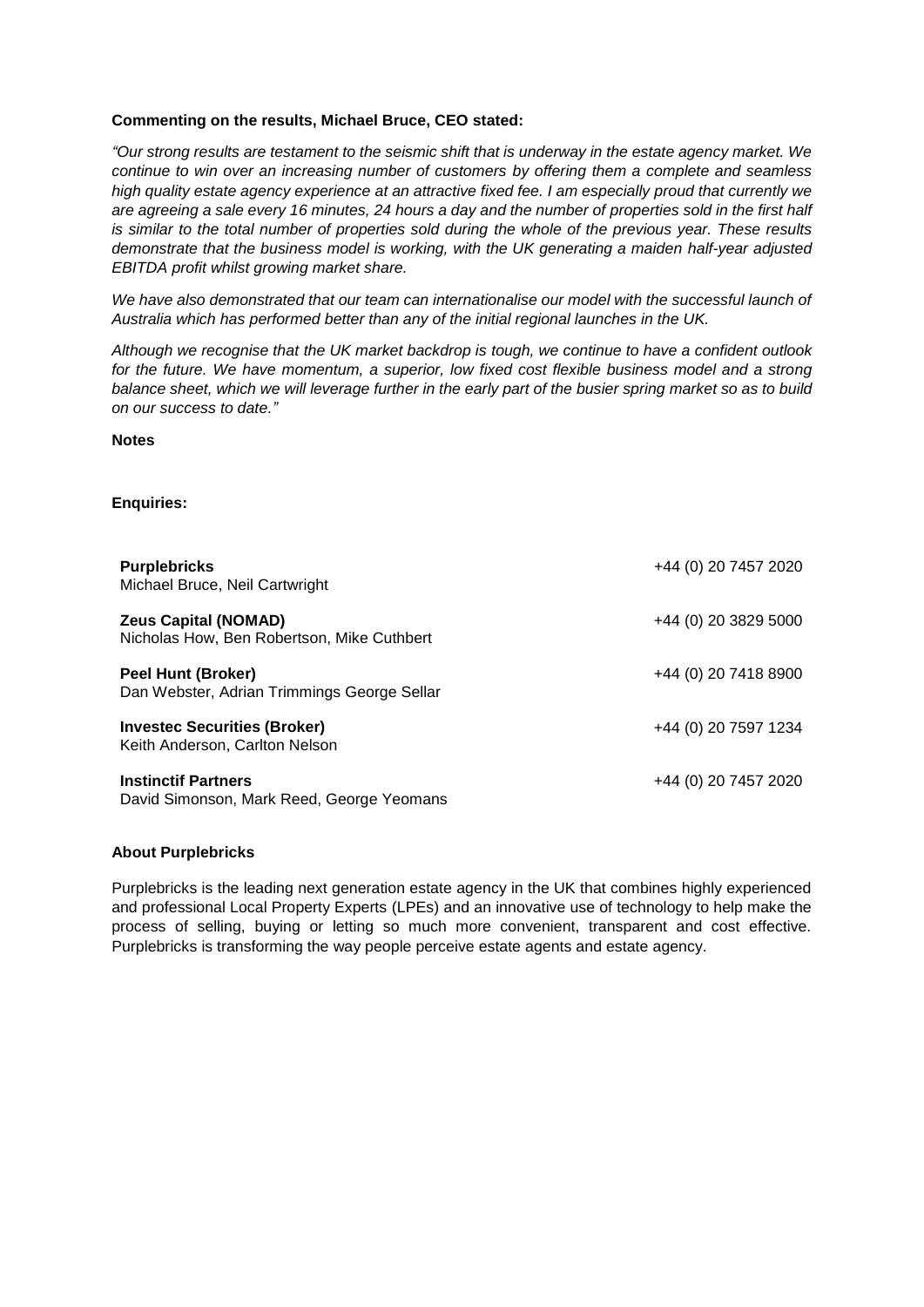## **Commenting on the results, Michael Bruce, CEO stated:**

*"Our strong results are testament to the seismic shift that is underway in the estate agency market. We continue to win over an increasing number of customers by offering them a complete and seamless high quality estate agency experience at an attractive fixed fee. I am especially proud that currently we are agreeing a sale every 16 minutes, 24 hours a day and the number of properties sold in the first half is similar to the total number of properties sold during the whole of the previous year. These results demonstrate that the business model is working, with the UK generating a maiden half-year adjusted EBITDA profit whilst growing market share.* 

*We have also demonstrated that our team can internationalise our model with the successful launch of Australia which has performed better than any of the initial regional launches in the UK.*

*Although we recognise that the UK market backdrop is tough, we continue to have a confident outlook* for the future. We have momentum, a superior, low fixed cost flexible business model and a strong *balance sheet, which we will leverage further in the early part of the busier spring market so as to build on our success to date."* 

**Notes**

## **Enquiries:**

| <b>Purplebricks</b><br>Michael Bruce, Neil Cartwright                     | +44 (0) 20 7457 2020 |
|---------------------------------------------------------------------------|----------------------|
| <b>Zeus Capital (NOMAD)</b><br>Nicholas How, Ben Robertson, Mike Cuthbert | +44 (0) 20 3829 5000 |
| Peel Hunt (Broker)<br>Dan Webster, Adrian Trimmings George Sellar         | +44 (0) 20 7418 8900 |
| <b>Investec Securities (Broker)</b><br>Keith Anderson, Carlton Nelson     | +44 (0) 20 7597 1234 |
| <b>Instinctif Partners</b><br>David Simonson, Mark Reed, George Yeomans   | +44 (0) 20 7457 2020 |

#### **About Purplebricks**

Purplebricks is the leading next generation estate agency in the UK that combines highly experienced and professional Local Property Experts (LPEs) and an innovative use of technology to help make the process of selling, buying or letting so much more convenient, transparent and cost effective. Purplebricks is transforming the way people perceive estate agents and estate agency.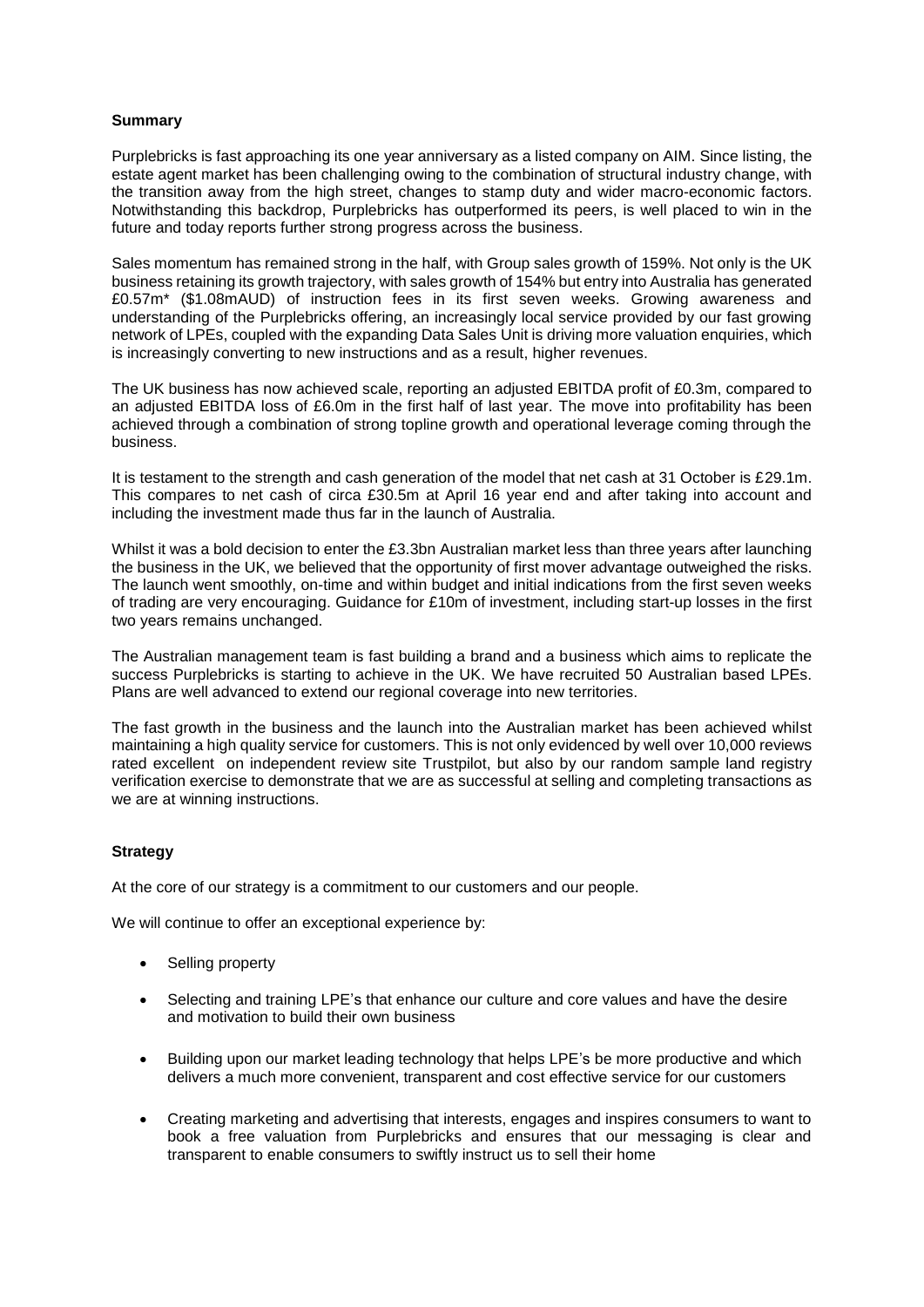## **Summary**

Purplebricks is fast approaching its one year anniversary as a listed company on AIM. Since listing, the estate agent market has been challenging owing to the combination of structural industry change, with the transition away from the high street, changes to stamp duty and wider macro-economic factors. Notwithstanding this backdrop, Purplebricks has outperformed its peers, is well placed to win in the future and today reports further strong progress across the business.

Sales momentum has remained strong in the half, with Group sales growth of 159%. Not only is the UK business retaining its growth trajectory, with sales growth of 154% but entry into Australia has generated £0.57m\* (\$1.08mAUD) of instruction fees in its first seven weeks. Growing awareness and understanding of the Purplebricks offering, an increasingly local service provided by our fast growing network of LPEs, coupled with the expanding Data Sales Unit is driving more valuation enquiries, which is increasingly converting to new instructions and as a result, higher revenues.

The UK business has now achieved scale, reporting an adjusted EBITDA profit of £0.3m, compared to an adjusted EBITDA loss of £6.0m in the first half of last year. The move into profitability has been achieved through a combination of strong topline growth and operational leverage coming through the business.

It is testament to the strength and cash generation of the model that net cash at 31 October is £29.1m. This compares to net cash of circa £30.5m at April 16 year end and after taking into account and including the investment made thus far in the launch of Australia.

Whilst it was a bold decision to enter the £3.3bn Australian market less than three years after launching the business in the UK, we believed that the opportunity of first mover advantage outweighed the risks. The launch went smoothly, on-time and within budget and initial indications from the first seven weeks of trading are very encouraging. Guidance for £10m of investment, including start-up losses in the first two years remains unchanged.

The Australian management team is fast building a brand and a business which aims to replicate the success Purplebricks is starting to achieve in the UK. We have recruited 50 Australian based LPEs. Plans are well advanced to extend our regional coverage into new territories.

The fast growth in the business and the launch into the Australian market has been achieved whilst maintaining a high quality service for customers. This is not only evidenced by well over 10,000 reviews rated excellent on independent review site Trustpilot, but also by our random sample land registry verification exercise to demonstrate that we are as successful at selling and completing transactions as we are at winning instructions.

#### **Strategy**

At the core of our strategy is a commitment to our customers and our people.

We will continue to offer an exceptional experience by:

- Selling property
- Selecting and training LPE's that enhance our culture and core values and have the desire and motivation to build their own business
- Building upon our market leading technology that helps LPE's be more productive and which delivers a much more convenient, transparent and cost effective service for our customers
- Creating marketing and advertising that interests, engages and inspires consumers to want to book a free valuation from Purplebricks and ensures that our messaging is clear and transparent to enable consumers to swiftly instruct us to sell their home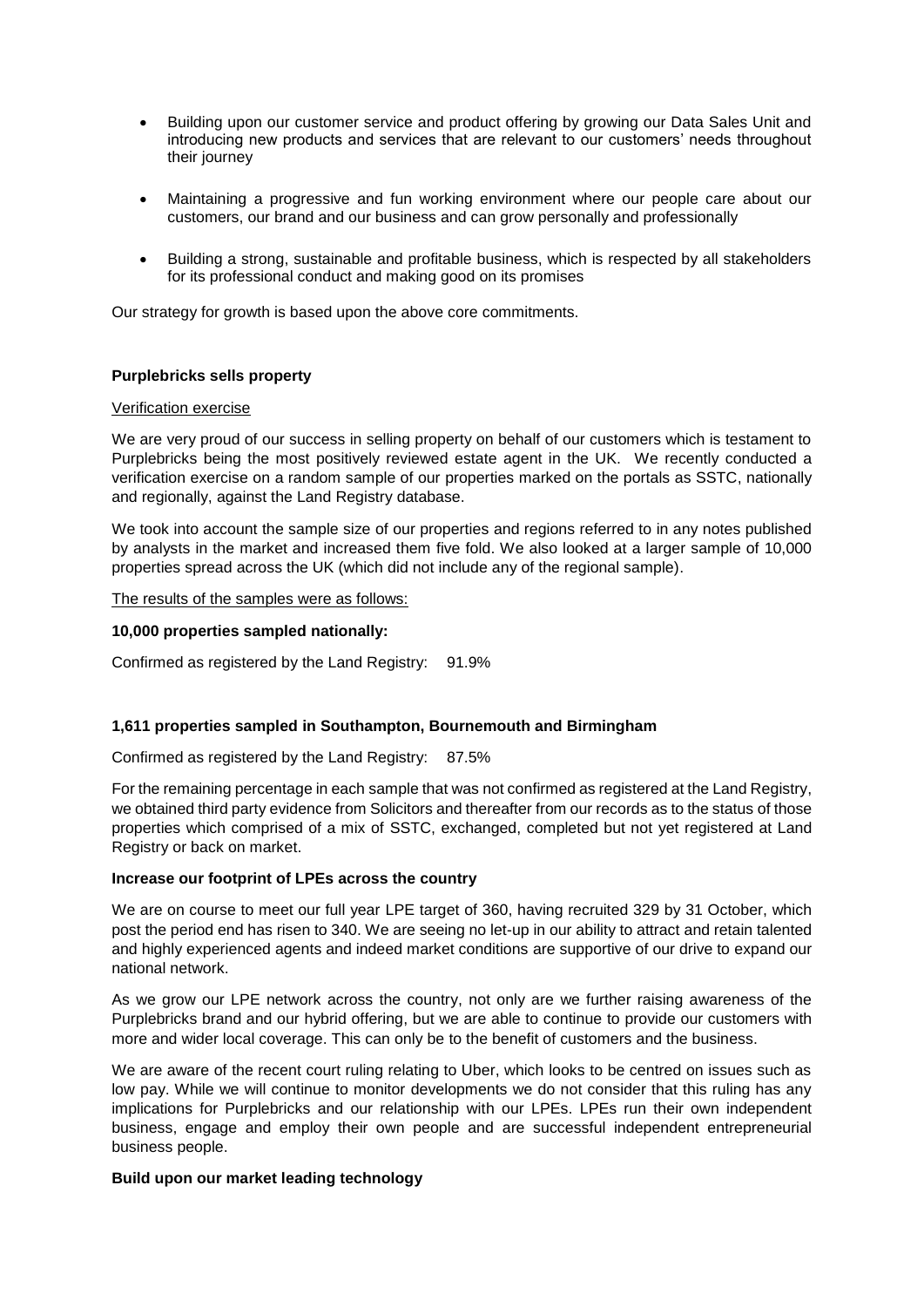- Building upon our customer service and product offering by growing our Data Sales Unit and introducing new products and services that are relevant to our customers' needs throughout their journey
- Maintaining a progressive and fun working environment where our people care about our customers, our brand and our business and can grow personally and professionally
- Building a strong, sustainable and profitable business, which is respected by all stakeholders for its professional conduct and making good on its promises

Our strategy for growth is based upon the above core commitments.

#### **Purplebricks sells property**

#### Verification exercise

We are very proud of our success in selling property on behalf of our customers which is testament to Purplebricks being the most positively reviewed estate agent in the UK. We recently conducted a verification exercise on a random sample of our properties marked on the portals as SSTC, nationally and regionally, against the Land Registry database.

We took into account the sample size of our properties and regions referred to in any notes published by analysts in the market and increased them five fold. We also looked at a larger sample of 10,000 properties spread across the UK (which did not include any of the regional sample).

The results of the samples were as follows:

#### **10,000 properties sampled nationally:**

Confirmed as registered by the Land Registry: 91.9%

# **1,611 properties sampled in Southampton, Bournemouth and Birmingham**

Confirmed as registered by the Land Registry: 87.5%

For the remaining percentage in each sample that was not confirmed as registered at the Land Registry, we obtained third party evidence from Solicitors and thereafter from our records as to the status of those properties which comprised of a mix of SSTC, exchanged, completed but not yet registered at Land Registry or back on market.

#### **Increase our footprint of LPEs across the country**

We are on course to meet our full year LPE target of 360, having recruited 329 by 31 October, which post the period end has risen to 340. We are seeing no let-up in our ability to attract and retain talented and highly experienced agents and indeed market conditions are supportive of our drive to expand our national network.

As we grow our LPE network across the country, not only are we further raising awareness of the Purplebricks brand and our hybrid offering, but we are able to continue to provide our customers with more and wider local coverage. This can only be to the benefit of customers and the business.

We are aware of the recent court ruling relating to Uber, which looks to be centred on issues such as low pay. While we will continue to monitor developments we do not consider that this ruling has any implications for Purplebricks and our relationship with our LPEs. LPEs run their own independent business, engage and employ their own people and are successful independent entrepreneurial business people.

#### **Build upon our market leading technology**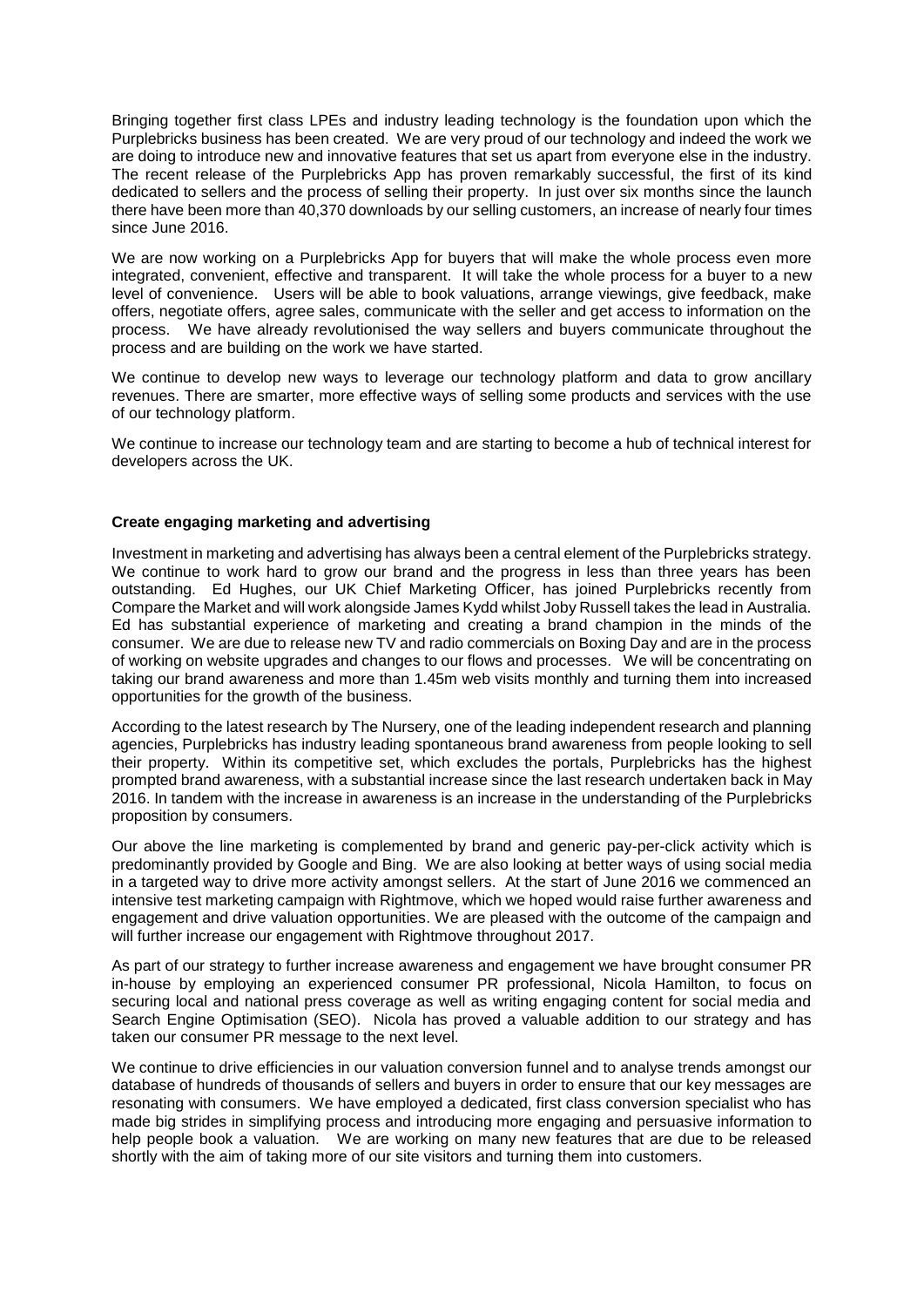Bringing together first class LPEs and industry leading technology is the foundation upon which the Purplebricks business has been created. We are very proud of our technology and indeed the work we are doing to introduce new and innovative features that set us apart from everyone else in the industry. The recent release of the Purplebricks App has proven remarkably successful, the first of its kind dedicated to sellers and the process of selling their property. In just over six months since the launch there have been more than 40,370 downloads by our selling customers, an increase of nearly four times since June 2016.

We are now working on a Purplebricks App for buyers that will make the whole process even more integrated, convenient, effective and transparent. It will take the whole process for a buyer to a new level of convenience. Users will be able to book valuations, arrange viewings, give feedback, make offers, negotiate offers, agree sales, communicate with the seller and get access to information on the process. We have already revolutionised the way sellers and buyers communicate throughout the process and are building on the work we have started.

We continue to develop new ways to leverage our technology platform and data to grow ancillary revenues. There are smarter, more effective ways of selling some products and services with the use of our technology platform.

We continue to increase our technology team and are starting to become a hub of technical interest for developers across the UK.

#### **Create engaging marketing and advertising**

Investment in marketing and advertising has always been a central element of the Purplebricks strategy. We continue to work hard to grow our brand and the progress in less than three years has been outstanding. Ed Hughes, our UK Chief Marketing Officer, has joined Purplebricks recently from Compare the Market and will work alongside James Kydd whilst Joby Russell takes the lead in Australia. Ed has substantial experience of marketing and creating a brand champion in the minds of the consumer. We are due to release new TV and radio commercials on Boxing Day and are in the process of working on website upgrades and changes to our flows and processes. We will be concentrating on taking our brand awareness and more than 1.45m web visits monthly and turning them into increased opportunities for the growth of the business.

According to the latest research by The Nursery, one of the leading independent research and planning agencies, Purplebricks has industry leading spontaneous brand awareness from people looking to sell their property. Within its competitive set, which excludes the portals, Purplebricks has the highest prompted brand awareness, with a substantial increase since the last research undertaken back in May 2016. In tandem with the increase in awareness is an increase in the understanding of the Purplebricks proposition by consumers.

Our above the line marketing is complemented by brand and generic pay-per-click activity which is predominantly provided by Google and Bing. We are also looking at better ways of using social media in a targeted way to drive more activity amongst sellers. At the start of June 2016 we commenced an intensive test marketing campaign with Rightmove, which we hoped would raise further awareness and engagement and drive valuation opportunities. We are pleased with the outcome of the campaign and will further increase our engagement with Rightmove throughout 2017.

As part of our strategy to further increase awareness and engagement we have brought consumer PR in-house by employing an experienced consumer PR professional, Nicola Hamilton, to focus on securing local and national press coverage as well as writing engaging content for social media and Search Engine Optimisation (SEO). Nicola has proved a valuable addition to our strategy and has taken our consumer PR message to the next level.

We continue to drive efficiencies in our valuation conversion funnel and to analyse trends amongst our database of hundreds of thousands of sellers and buyers in order to ensure that our key messages are resonating with consumers. We have employed a dedicated, first class conversion specialist who has made big strides in simplifying process and introducing more engaging and persuasive information to help people book a valuation. We are working on many new features that are due to be released shortly with the aim of taking more of our site visitors and turning them into customers.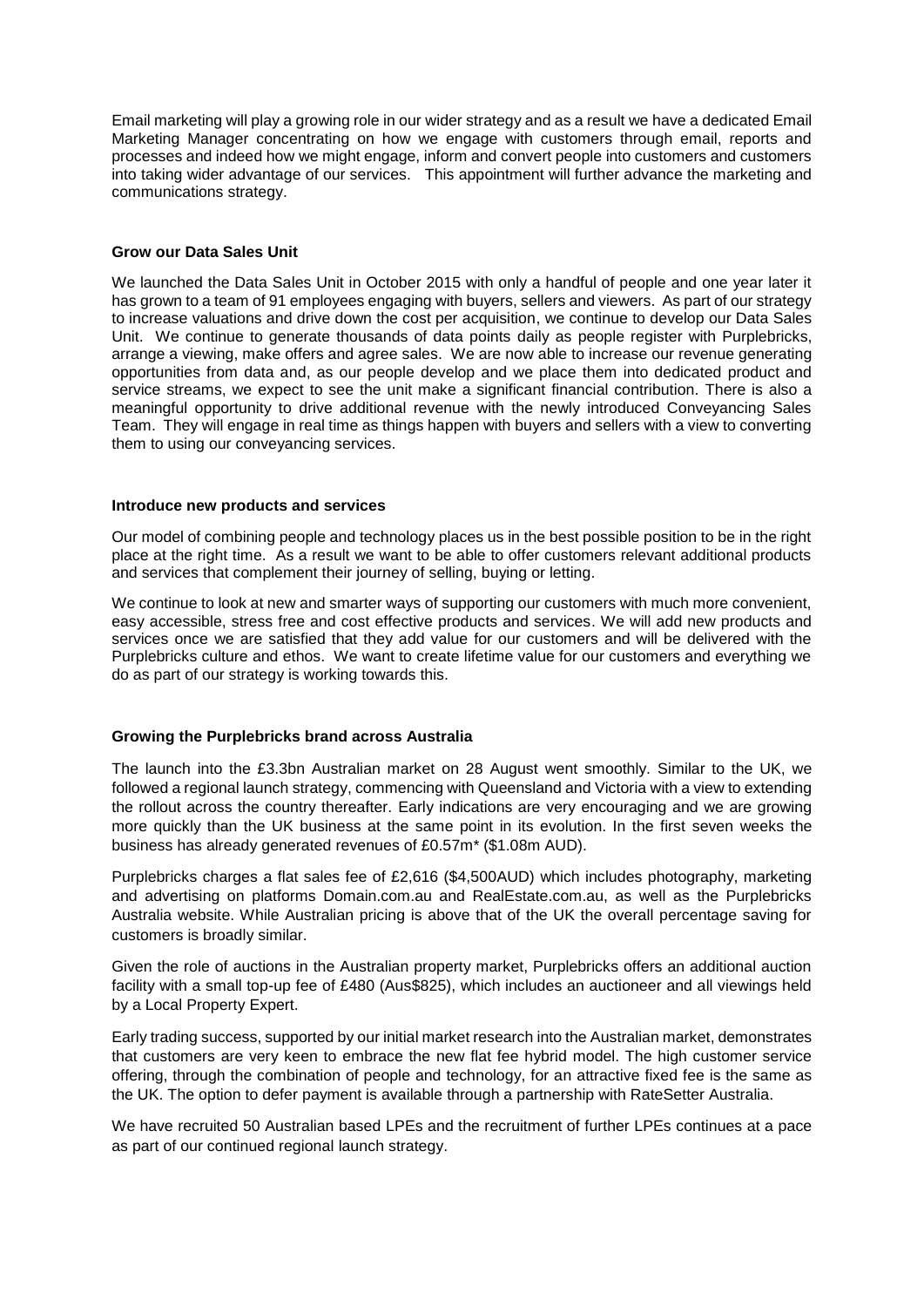Email marketing will play a growing role in our wider strategy and as a result we have a dedicated Email Marketing Manager concentrating on how we engage with customers through email, reports and processes and indeed how we might engage, inform and convert people into customers and customers into taking wider advantage of our services. This appointment will further advance the marketing and communications strategy.

#### **Grow our Data Sales Unit**

We launched the Data Sales Unit in October 2015 with only a handful of people and one year later it has grown to a team of 91 employees engaging with buyers, sellers and viewers. As part of our strategy to increase valuations and drive down the cost per acquisition, we continue to develop our Data Sales Unit. We continue to generate thousands of data points daily as people register with Purplebricks, arrange a viewing, make offers and agree sales. We are now able to increase our revenue generating opportunities from data and, as our people develop and we place them into dedicated product and service streams, we expect to see the unit make a significant financial contribution. There is also a meaningful opportunity to drive additional revenue with the newly introduced Conveyancing Sales Team. They will engage in real time as things happen with buyers and sellers with a view to converting them to using our conveyancing services.

#### **Introduce new products and services**

Our model of combining people and technology places us in the best possible position to be in the right place at the right time. As a result we want to be able to offer customers relevant additional products and services that complement their journey of selling, buying or letting.

We continue to look at new and smarter ways of supporting our customers with much more convenient, easy accessible, stress free and cost effective products and services. We will add new products and services once we are satisfied that they add value for our customers and will be delivered with the Purplebricks culture and ethos. We want to create lifetime value for our customers and everything we do as part of our strategy is working towards this.

# **Growing the Purplebricks brand across Australia**

The launch into the £3.3bn Australian market on 28 August went smoothly. Similar to the UK, we followed a regional launch strategy, commencing with Queensland and Victoria with a view to extending the rollout across the country thereafter. Early indications are very encouraging and we are growing more quickly than the UK business at the same point in its evolution. In the first seven weeks the business has already generated revenues of £0.57m\* (\$1.08m AUD).

Purplebricks charges a flat sales fee of £2,616 (\$4,500AUD) which includes photography, marketing and advertising on platforms Domain.com.au and RealEstate.com.au, as well as the Purplebricks Australia website. While Australian pricing is above that of the UK the overall percentage saving for customers is broadly similar.

Given the role of auctions in the Australian property market, Purplebricks offers an additional auction facility with a small top-up fee of £480 (Aus\$825), which includes an auctioneer and all viewings held by a Local Property Expert.

Early trading success, supported by our initial market research into the Australian market, demonstrates that customers are very keen to embrace the new flat fee hybrid model. The high customer service offering, through the combination of people and technology, for an attractive fixed fee is the same as the UK. The option to defer payment is available through a partnership with RateSetter Australia.

We have recruited 50 Australian based LPEs and the recruitment of further LPEs continues at a pace as part of our continued regional launch strategy.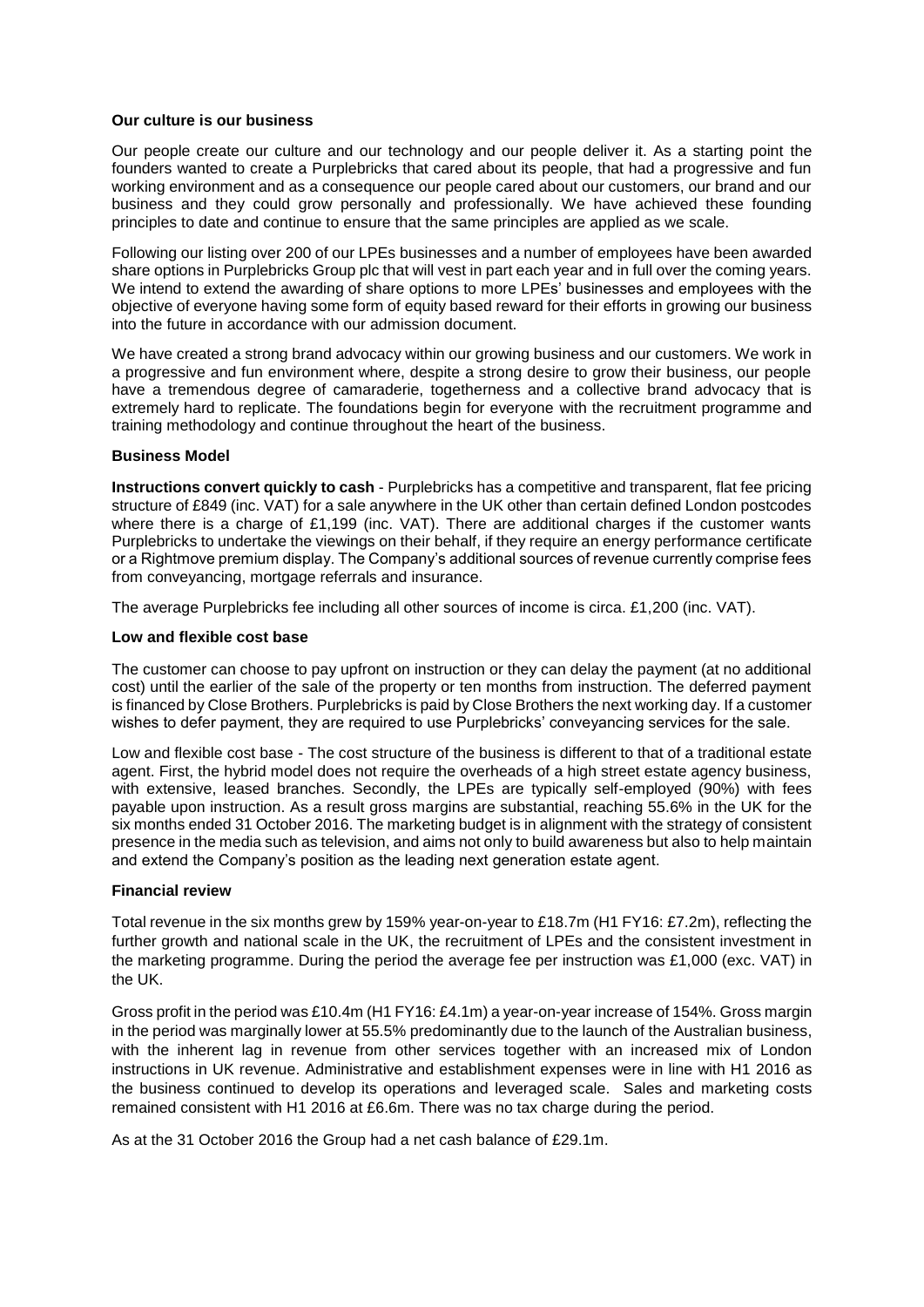#### **Our culture is our business**

Our people create our culture and our technology and our people deliver it. As a starting point the founders wanted to create a Purplebricks that cared about its people, that had a progressive and fun working environment and as a consequence our people cared about our customers, our brand and our business and they could grow personally and professionally. We have achieved these founding principles to date and continue to ensure that the same principles are applied as we scale.

Following our listing over 200 of our LPEs businesses and a number of employees have been awarded share options in Purplebricks Group plc that will vest in part each year and in full over the coming years. We intend to extend the awarding of share options to more LPEs' businesses and employees with the objective of everyone having some form of equity based reward for their efforts in growing our business into the future in accordance with our admission document.

We have created a strong brand advocacy within our growing business and our customers. We work in a progressive and fun environment where, despite a strong desire to grow their business, our people have a tremendous degree of camaraderie, togetherness and a collective brand advocacy that is extremely hard to replicate. The foundations begin for everyone with the recruitment programme and training methodology and continue throughout the heart of the business.

#### **Business Model**

**Instructions convert quickly to cash** - Purplebricks has a competitive and transparent, flat fee pricing structure of £849 (inc. VAT) for a sale anywhere in the UK other than certain defined London postcodes where there is a charge of £1,199 (inc. VAT). There are additional charges if the customer wants Purplebricks to undertake the viewings on their behalf, if they require an energy performance certificate or a Rightmove premium display. The Company's additional sources of revenue currently comprise fees from conveyancing, mortgage referrals and insurance.

The average Purplebricks fee including all other sources of income is circa. £1,200 (inc. VAT).

#### **Low and flexible cost base**

The customer can choose to pay upfront on instruction or they can delay the payment (at no additional cost) until the earlier of the sale of the property or ten months from instruction. The deferred payment is financed by Close Brothers. Purplebricks is paid by Close Brothers the next working day. If a customer wishes to defer payment, they are required to use Purplebricks' conveyancing services for the sale.

Low and flexible cost base - The cost structure of the business is different to that of a traditional estate agent. First, the hybrid model does not require the overheads of a high street estate agency business, with extensive, leased branches. Secondly, the LPEs are typically self-employed (90%) with fees payable upon instruction. As a result gross margins are substantial, reaching 55.6% in the UK for the six months ended 31 October 2016. The marketing budget is in alignment with the strategy of consistent presence in the media such as television, and aims not only to build awareness but also to help maintain and extend the Company's position as the leading next generation estate agent.

#### **Financial review**

Total revenue in the six months grew by 159% year-on-year to £18.7m (H1 FY16: £7.2m), reflecting the further growth and national scale in the UK, the recruitment of LPEs and the consistent investment in the marketing programme. During the period the average fee per instruction was £1,000 (exc. VAT) in the UK.

Gross profit in the period was £10.4m (H1 FY16: £4.1m) a year-on-year increase of 154%. Gross margin in the period was marginally lower at 55.5% predominantly due to the launch of the Australian business, with the inherent lag in revenue from other services together with an increased mix of London instructions in UK revenue. Administrative and establishment expenses were in line with H1 2016 as the business continued to develop its operations and leveraged scale. Sales and marketing costs remained consistent with H1 2016 at £6.6m. There was no tax charge during the period.

As at the 31 October 2016 the Group had a net cash balance of £29.1m.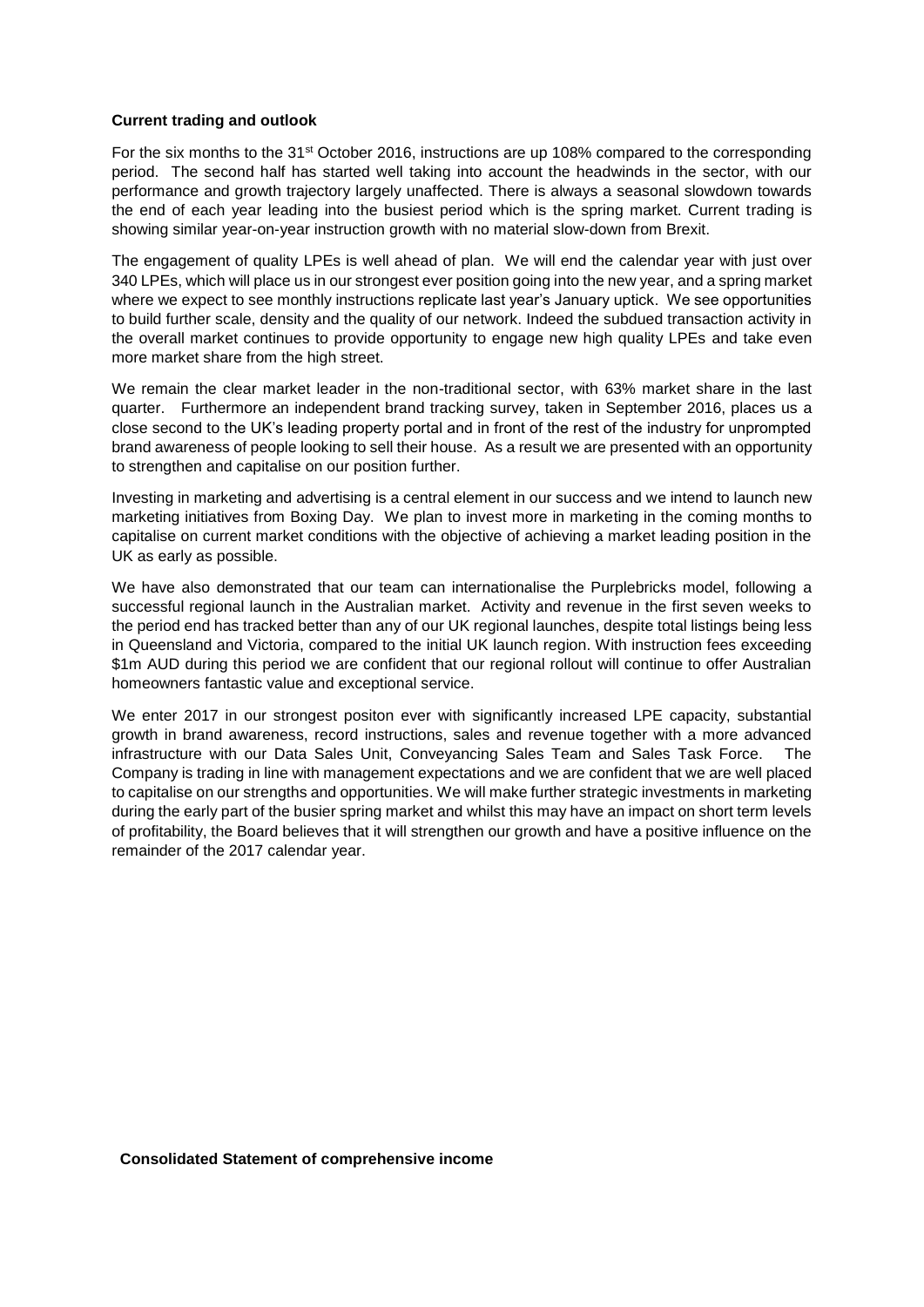#### **Current trading and outlook**

For the six months to the 31st October 2016, instructions are up 108% compared to the corresponding period. The second half has started well taking into account the headwinds in the sector, with our performance and growth trajectory largely unaffected. There is always a seasonal slowdown towards the end of each year leading into the busiest period which is the spring market. Current trading is showing similar year-on-year instruction growth with no material slow-down from Brexit.

The engagement of quality LPEs is well ahead of plan. We will end the calendar year with just over 340 LPEs, which will place us in our strongest ever position going into the new year, and a spring market where we expect to see monthly instructions replicate last year's January uptick. We see opportunities to build further scale, density and the quality of our network. Indeed the subdued transaction activity in the overall market continues to provide opportunity to engage new high quality LPEs and take even more market share from the high street.

We remain the clear market leader in the non-traditional sector, with 63% market share in the last quarter. Furthermore an independent brand tracking survey, taken in September 2016, places us a close second to the UK's leading property portal and in front of the rest of the industry for unprompted brand awareness of people looking to sell their house. As a result we are presented with an opportunity to strengthen and capitalise on our position further.

Investing in marketing and advertising is a central element in our success and we intend to launch new marketing initiatives from Boxing Day. We plan to invest more in marketing in the coming months to capitalise on current market conditions with the objective of achieving a market leading position in the UK as early as possible.

We have also demonstrated that our team can internationalise the Purplebricks model, following a successful regional launch in the Australian market. Activity and revenue in the first seven weeks to the period end has tracked better than any of our UK regional launches, despite total listings being less in Queensland and Victoria, compared to the initial UK launch region. With instruction fees exceeding \$1m AUD during this period we are confident that our regional rollout will continue to offer Australian homeowners fantastic value and exceptional service.

We enter 2017 in our strongest positon ever with significantly increased LPE capacity, substantial growth in brand awareness, record instructions, sales and revenue together with a more advanced infrastructure with our Data Sales Unit, Conveyancing Sales Team and Sales Task Force. The Company is trading in line with management expectations and we are confident that we are well placed to capitalise on our strengths and opportunities. We will make further strategic investments in marketing during the early part of the busier spring market and whilst this may have an impact on short term levels of profitability, the Board believes that it will strengthen our growth and have a positive influence on the remainder of the 2017 calendar year.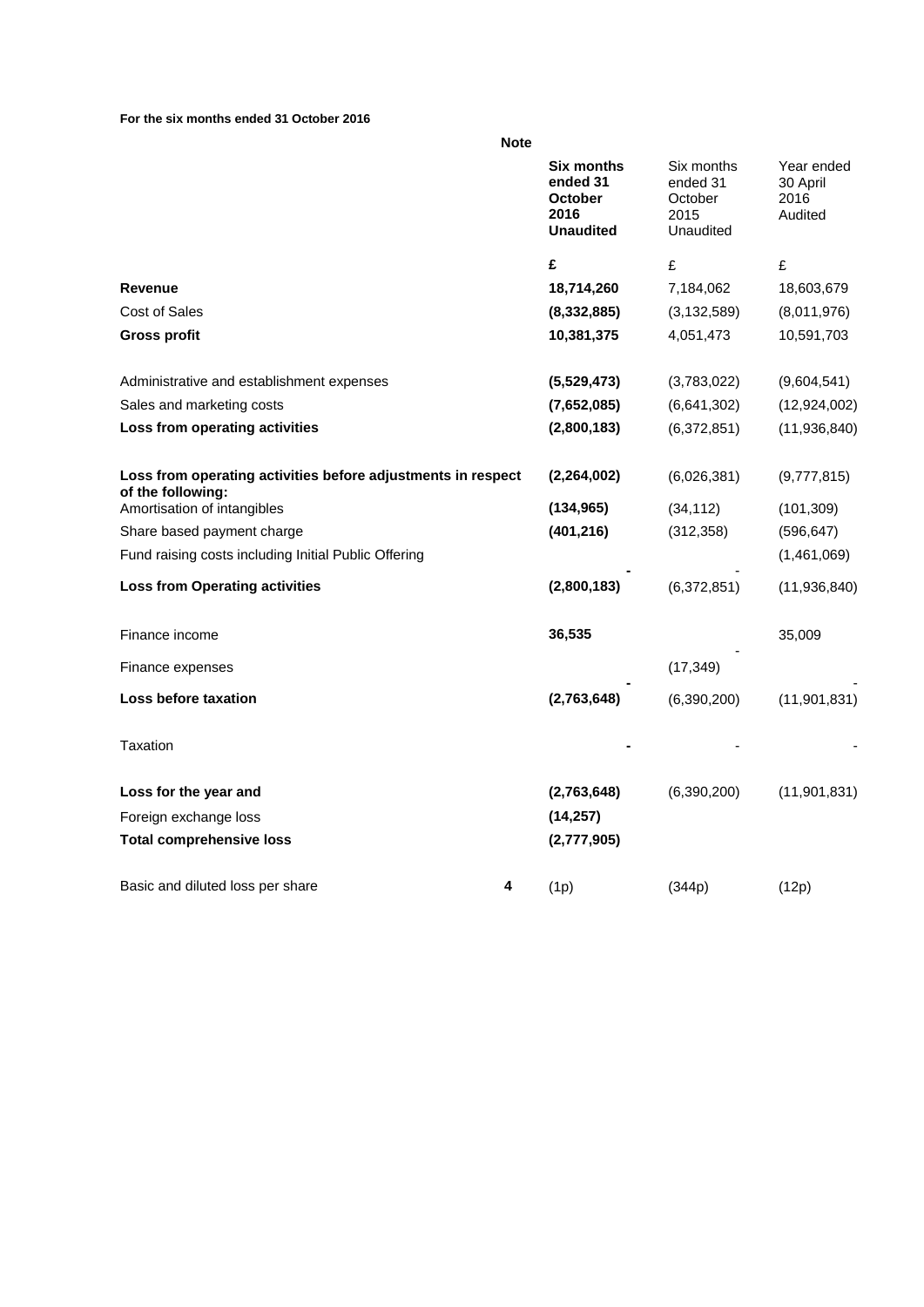#### **For the six months ended 31 October 2016**

| ٦<br>I<br>۰.<br>۰.<br>. .<br>× |  |
|--------------------------------|--|
|--------------------------------|--|

|                                                                                   |   | <b>Six months</b><br>ended 31<br><b>October</b><br>2016<br><b>Unaudited</b> | Six months<br>ended 31<br>October<br>2015<br>Unaudited | Year ended<br>30 April<br>2016<br>Audited |
|-----------------------------------------------------------------------------------|---|-----------------------------------------------------------------------------|--------------------------------------------------------|-------------------------------------------|
|                                                                                   |   | £                                                                           | £                                                      | £                                         |
| <b>Revenue</b>                                                                    |   | 18,714,260                                                                  | 7,184,062                                              | 18,603,679                                |
| <b>Cost of Sales</b>                                                              |   | (8, 332, 885)                                                               | (3, 132, 589)                                          | (8,011,976)                               |
| <b>Gross profit</b>                                                               |   | 10,381,375                                                                  | 4,051,473                                              | 10,591,703                                |
| Administrative and establishment expenses                                         |   | (5,529,473)                                                                 | (3,783,022)                                            | (9,604,541)                               |
| Sales and marketing costs                                                         |   | (7,652,085)                                                                 | (6,641,302)                                            | (12, 924, 002)                            |
| Loss from operating activities                                                    |   | (2,800,183)                                                                 | (6,372,851)                                            | (11,936,840)                              |
| Loss from operating activities before adjustments in respect<br>of the following: |   | (2, 264, 002)                                                               | (6,026,381)                                            | (9,777,815)                               |
| Amortisation of intangibles                                                       |   | (134, 965)                                                                  | (34, 112)                                              | (101, 309)                                |
| Share based payment charge                                                        |   | (401, 216)                                                                  | (312, 358)                                             | (596, 647)                                |
| Fund raising costs including Initial Public Offering                              |   |                                                                             |                                                        | (1,461,069)                               |
| <b>Loss from Operating activities</b>                                             |   | (2,800,183)                                                                 | (6,372,851)                                            | (11,936,840)                              |
| Finance income                                                                    |   | 36,535                                                                      |                                                        | 35,009                                    |
| Finance expenses                                                                  |   |                                                                             | (17, 349)                                              |                                           |
| Loss before taxation                                                              |   | (2,763,648)                                                                 | (6,390,200)                                            | (11, 901, 831)                            |
| Taxation                                                                          |   |                                                                             |                                                        |                                           |
| Loss for the year and                                                             |   | (2,763,648)                                                                 | (6,390,200)                                            | (11,901,831)                              |
| Foreign exchange loss                                                             |   | (14, 257)                                                                   |                                                        |                                           |
| <b>Total comprehensive loss</b>                                                   |   | (2,777,905)                                                                 |                                                        |                                           |
| Basic and diluted loss per share                                                  | 4 | (1p)                                                                        | (344p)                                                 | (12p)                                     |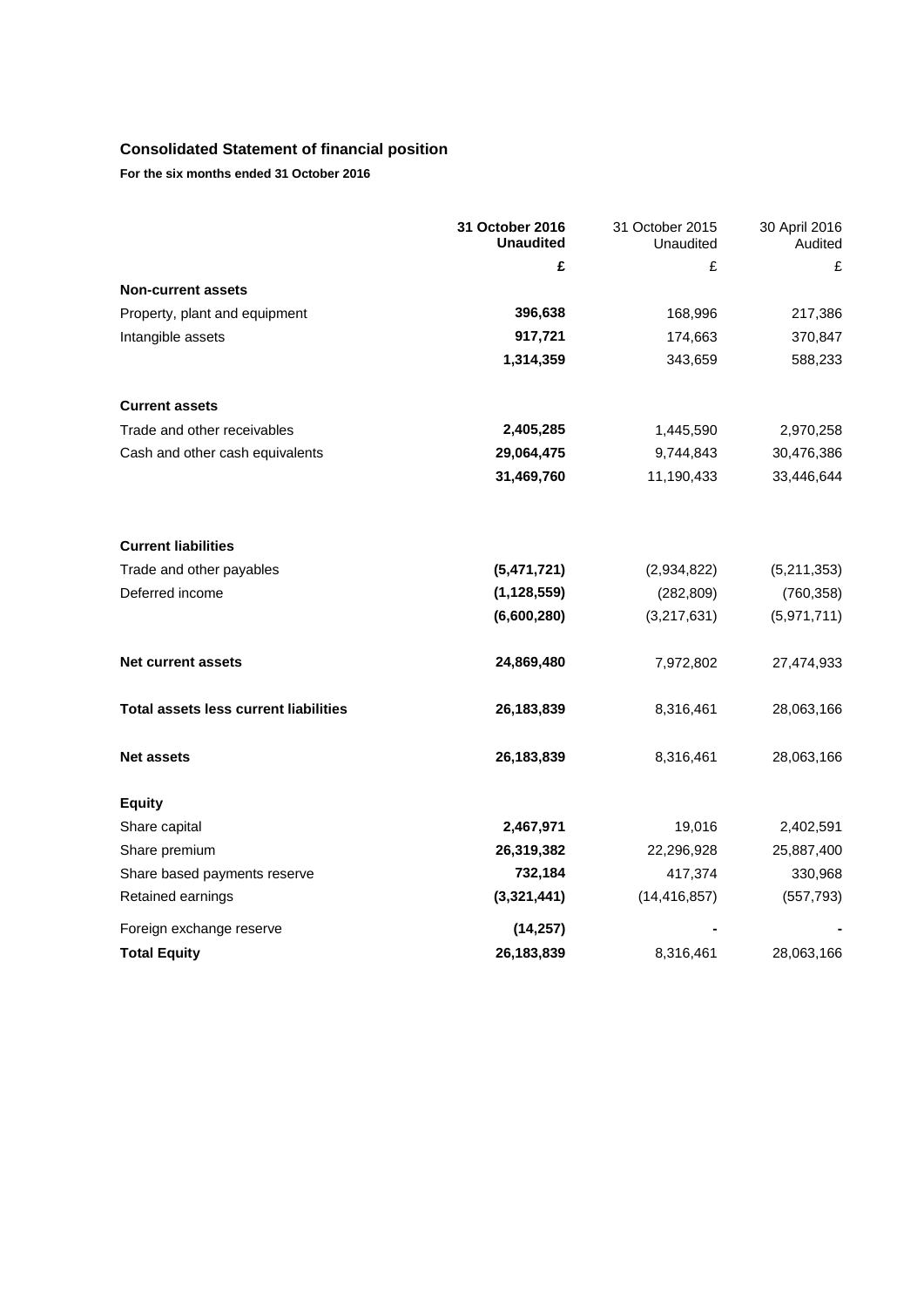# **Consolidated Statement of financial position**

**For the six months ended 31 October 2016**

|                                              | 31 October 2016<br><b>Unaudited</b> | 31 October 2015<br>Unaudited | 30 April 2016<br>Audited |
|----------------------------------------------|-------------------------------------|------------------------------|--------------------------|
|                                              | £                                   | £                            | £                        |
| <b>Non-current assets</b>                    |                                     |                              |                          |
| Property, plant and equipment                | 396,638                             | 168,996                      | 217,386                  |
| Intangible assets                            | 917,721                             | 174,663                      | 370,847                  |
|                                              | 1,314,359                           | 343,659                      | 588,233                  |
| <b>Current assets</b>                        |                                     |                              |                          |
| Trade and other receivables                  | 2,405,285                           | 1,445,590                    | 2,970,258                |
| Cash and other cash equivalents              | 29,064,475                          | 9,744,843                    | 30,476,386               |
|                                              | 31,469,760                          | 11,190,433                   | 33,446,644               |
| <b>Current liabilities</b>                   |                                     |                              |                          |
| Trade and other payables                     | (5,471,721)                         | (2,934,822)                  | (5,211,353)              |
| Deferred income                              | (1, 128, 559)                       | (282, 809)                   | (760, 358)               |
|                                              | (6,600,280)                         | (3,217,631)                  | (5,971,711)              |
| <b>Net current assets</b>                    | 24,869,480                          | 7,972,802                    | 27,474,933               |
| <b>Total assets less current liabilities</b> | 26,183,839                          | 8,316,461                    | 28,063,166               |
| <b>Net assets</b>                            | 26, 183, 839                        | 8,316,461                    | 28,063,166               |
| <b>Equity</b>                                |                                     |                              |                          |
| Share capital                                | 2,467,971                           | 19,016                       | 2,402,591                |
| Share premium                                | 26,319,382                          | 22,296,928                   | 25,887,400               |
| Share based payments reserve                 | 732,184                             | 417,374                      | 330,968                  |
| Retained earnings                            | (3,321,441)                         | (14, 416, 857)               | (557, 793)               |
| Foreign exchange reserve                     | (14, 257)                           |                              |                          |
| <b>Total Equity</b>                          | 26,183,839                          | 8,316,461                    | 28,063,166               |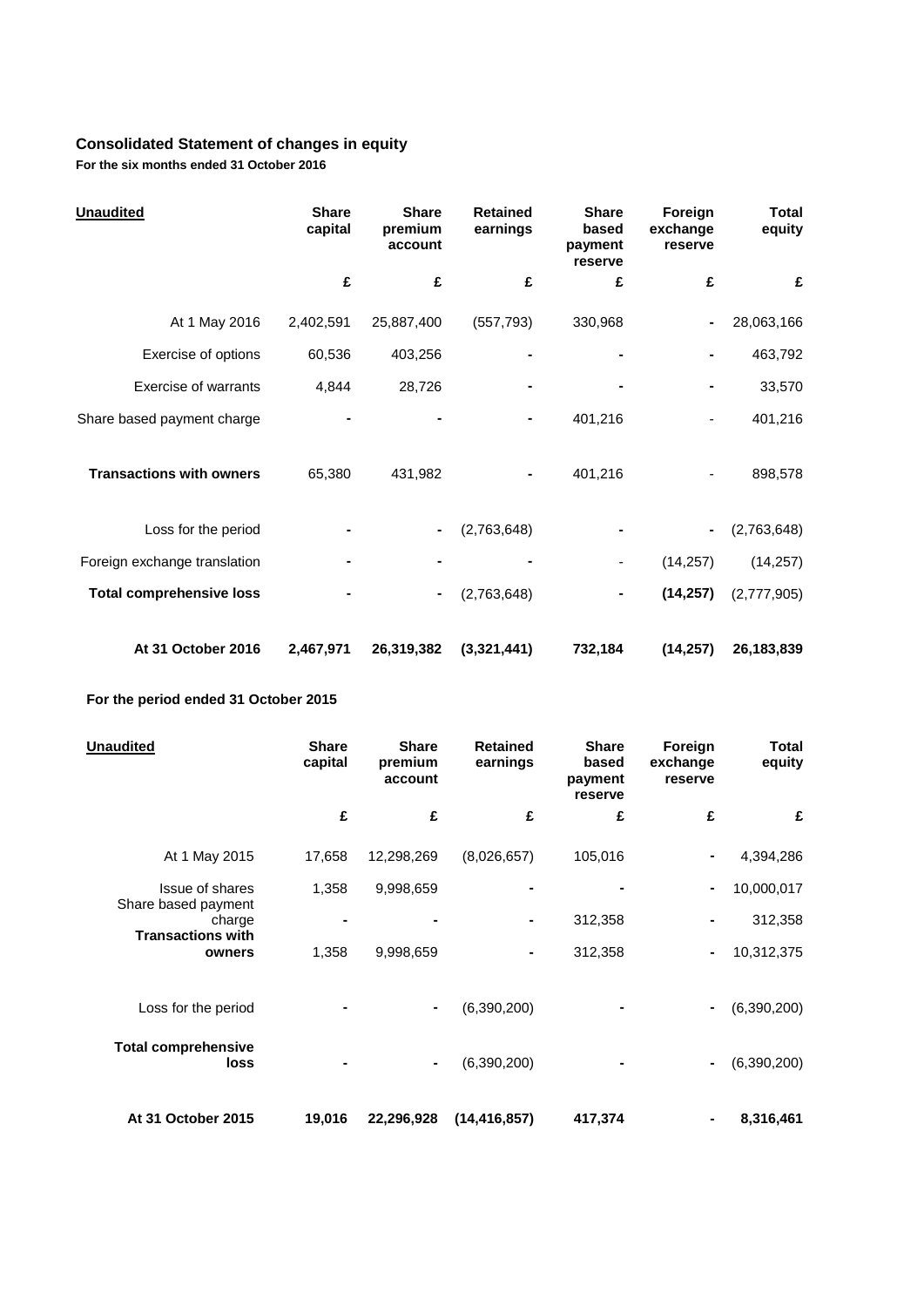# **Consolidated Statement of changes in equity**

**For the six months ended 31 October 2016**

| <b>Unaudited</b>                | <b>Share</b><br>capital | <b>Share</b><br>premium<br>account | <b>Retained</b><br>earnings | <b>Share</b><br>based<br>payment<br>reserve | Foreign<br>exchange<br>reserve | <b>Total</b><br>equity |
|---------------------------------|-------------------------|------------------------------------|-----------------------------|---------------------------------------------|--------------------------------|------------------------|
|                                 | £                       | £                                  | £                           | £                                           | £                              | £                      |
| At 1 May 2016                   | 2,402,591               | 25,887,400                         | (557, 793)                  | 330,968                                     |                                | 28,063,166             |
| Exercise of options             | 60,536                  | 403,256                            |                             |                                             |                                | 463,792                |
| Exercise of warrants            | 4,844                   | 28,726                             |                             |                                             |                                | 33,570                 |
| Share based payment charge      |                         |                                    |                             | 401,216                                     |                                | 401,216                |
| <b>Transactions with owners</b> | 65,380                  | 431,982                            |                             | 401,216                                     |                                | 898,578                |
| Loss for the period             |                         |                                    | (2,763,648)                 |                                             |                                | (2,763,648)            |
| Foreign exchange translation    |                         |                                    |                             |                                             | (14, 257)                      | (14, 257)              |
| <b>Total comprehensive loss</b> |                         | ۰                                  | (2,763,648)                 | ۰                                           | (14, 257)                      | (2,777,905)            |
| At 31 October 2016              | 2,467,971               | 26,319,382                         | (3,321,441)                 | 732,184                                     | (14, 257)                      | 26,183,839             |

# **For the period ended 31 October 2015**

| Unaudited                                                 | <b>Share</b><br>capital | <b>Share</b><br>premium<br>account | <b>Retained</b><br>earnings | <b>Share</b><br>based<br>payment<br>reserve | Foreign<br>exchange<br>reserve | Total<br>equity |
|-----------------------------------------------------------|-------------------------|------------------------------------|-----------------------------|---------------------------------------------|--------------------------------|-----------------|
|                                                           | £                       | £                                  | £                           | £                                           | £                              | £               |
| At 1 May 2015                                             | 17,658                  | 12,298,269                         | (8,026,657)                 | 105,016                                     |                                | 4,394,286       |
| <b>Issue of shares</b>                                    | 1,358                   | 9,998,659                          |                             |                                             |                                | 10,000,017      |
| Share based payment<br>charge<br><b>Transactions with</b> |                         |                                    |                             | 312,358                                     |                                | 312,358         |
| owners                                                    | 1,358                   | 9,998,659                          | ۰                           | 312,358                                     |                                | 10,312,375      |
| Loss for the period                                       |                         | $\blacksquare$                     | (6,390,200)                 |                                             |                                | (6,390,200)     |
| <b>Total comprehensive</b><br>loss                        |                         | ۰.                                 | (6,390,200)                 |                                             |                                | (6,390,200)     |
| At 31 October 2015                                        | 19,016                  | 22,296,928                         | (14, 416, 857)              | 417,374                                     |                                | 8,316,461       |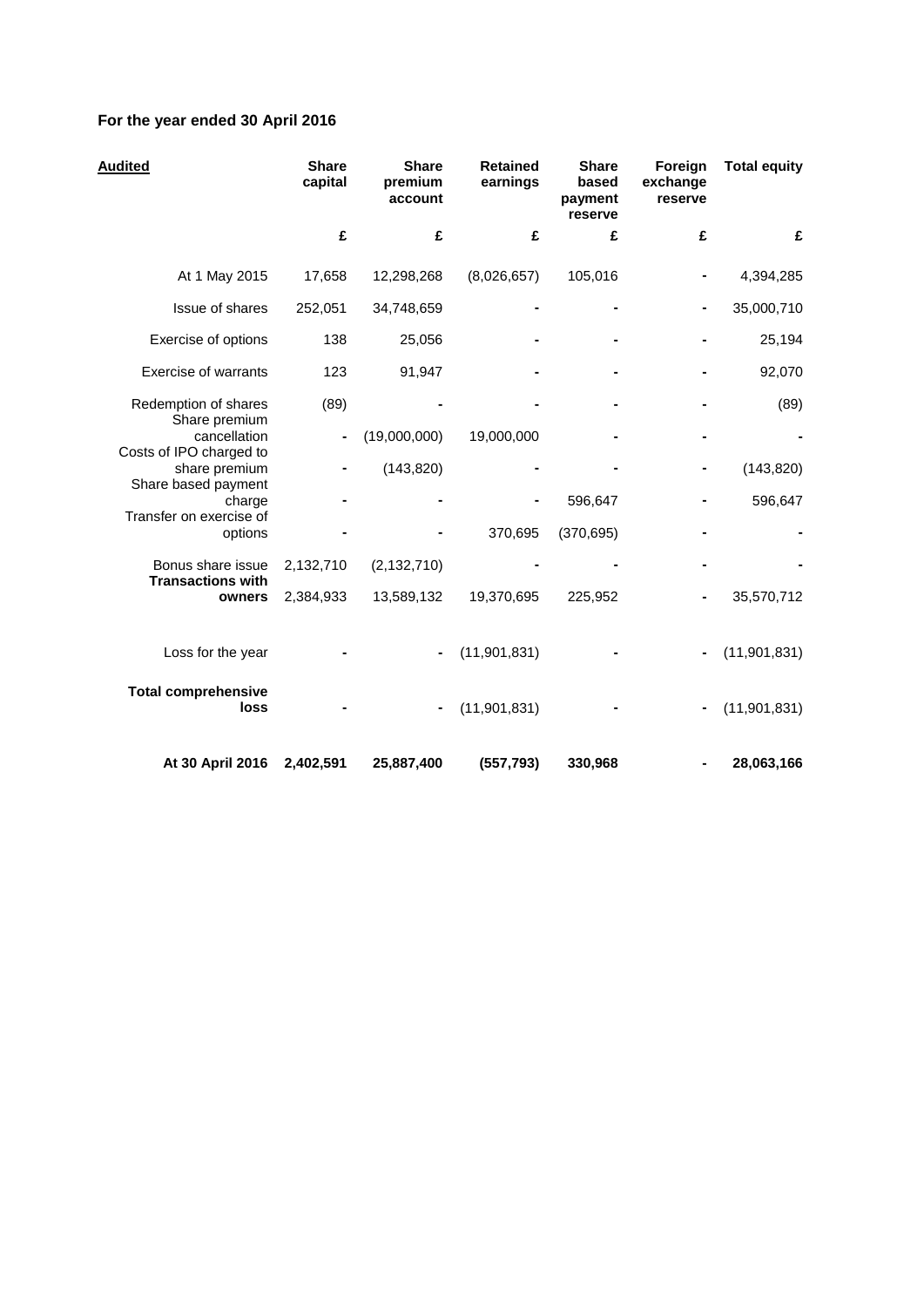# **For the year ended 30 April 2016**

| <b>Audited</b>                                                  | <b>Share</b><br>capital | <b>Share</b><br>premium<br>account | <b>Retained</b><br>earnings | <b>Share</b><br>based<br>payment<br>reserve | Foreign<br>exchange<br>reserve | <b>Total equity</b> |
|-----------------------------------------------------------------|-------------------------|------------------------------------|-----------------------------|---------------------------------------------|--------------------------------|---------------------|
|                                                                 | £                       | £                                  | £                           | £                                           | £                              | £                   |
| At 1 May 2015                                                   | 17,658                  | 12,298,268                         | (8,026,657)                 | 105,016                                     |                                | 4,394,285           |
| Issue of shares                                                 | 252,051                 | 34,748,659                         |                             |                                             |                                | 35,000,710          |
| Exercise of options                                             | 138                     | 25,056                             |                             |                                             |                                | 25,194              |
| <b>Exercise of warrants</b>                                     | 123                     | 91,947                             |                             |                                             |                                | 92,070              |
| Redemption of shares<br>Share premium                           | (89)                    |                                    |                             |                                             |                                | (89)                |
| cancellation                                                    |                         | (19,000,000)                       | 19,000,000                  |                                             |                                |                     |
| Costs of IPO charged to<br>share premium<br>Share based payment |                         | (143, 820)                         |                             |                                             |                                | (143, 820)          |
| charge                                                          |                         |                                    |                             | 596,647                                     |                                | 596,647             |
| Transfer on exercise of<br>options                              |                         |                                    | 370,695                     | (370, 695)                                  |                                |                     |
| Bonus share issue<br><b>Transactions with</b>                   | 2,132,710               | (2, 132, 710)                      |                             |                                             |                                |                     |
| owners                                                          | 2,384,933               | 13,589,132                         | 19,370,695                  | 225,952                                     |                                | 35,570,712          |
| Loss for the year                                               |                         |                                    | (11, 901, 831)              |                                             |                                | (11, 901, 831)      |
| <b>Total comprehensive</b><br>loss                              |                         |                                    | (11, 901, 831)              |                                             |                                | (11, 901, 831)      |
| At 30 April 2016                                                | 2,402,591               | 25,887,400                         | (557, 793)                  | 330,968                                     |                                | 28,063,166          |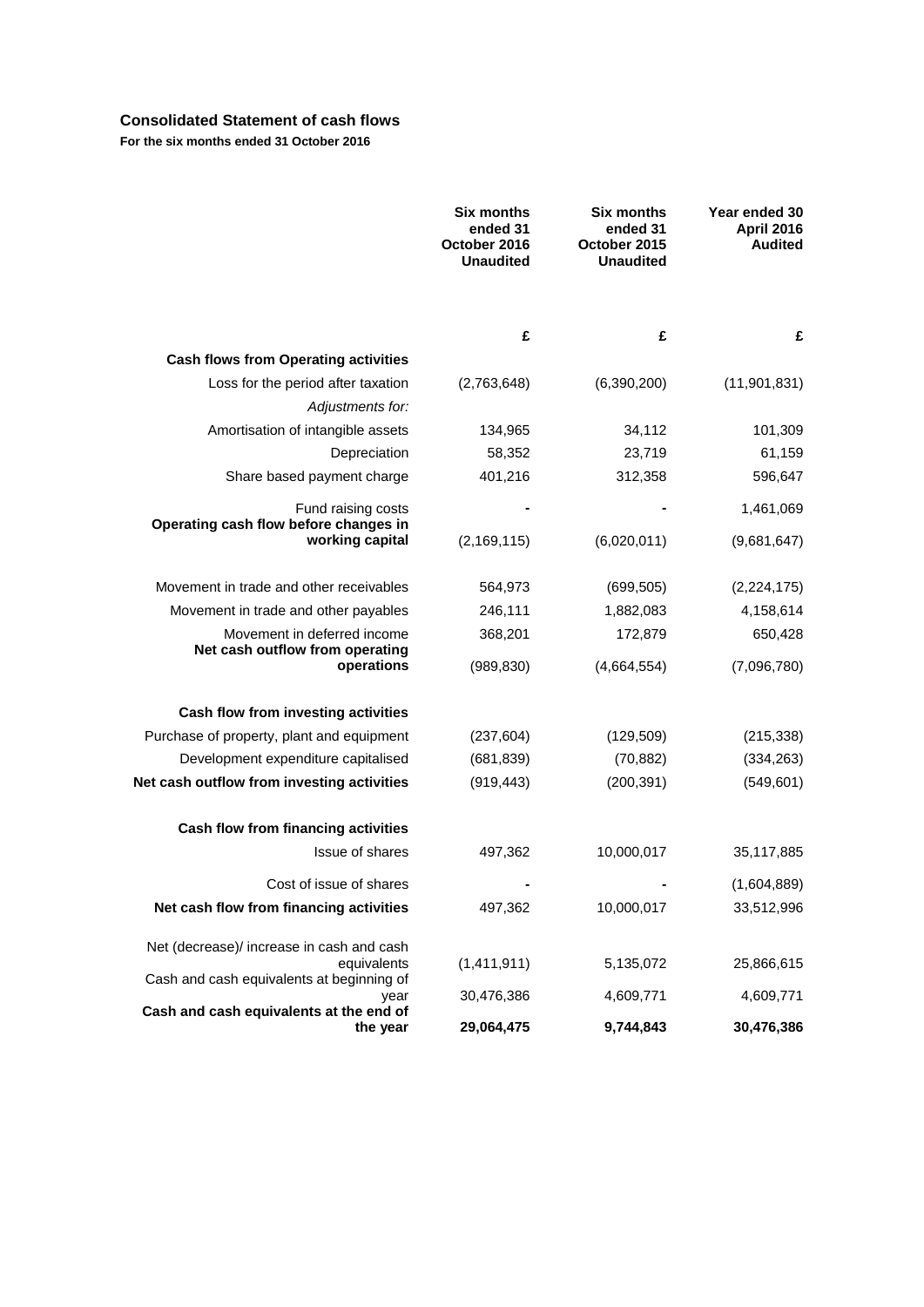# **Consolidated Statement of cash flows**

**For the six months ended 31 October 2016**

|                                                             | <b>Six months</b><br>ended 31<br>October 2016<br><b>Unaudited</b> | <b>Six months</b><br>ended 31<br>October 2015<br><b>Unaudited</b> | Year ended 30<br><b>April 2016</b><br><b>Audited</b> |
|-------------------------------------------------------------|-------------------------------------------------------------------|-------------------------------------------------------------------|------------------------------------------------------|
|                                                             | £                                                                 | £                                                                 | £                                                    |
| <b>Cash flows from Operating activities</b>                 |                                                                   |                                                                   |                                                      |
| Loss for the period after taxation                          | (2,763,648)                                                       | (6,390,200)                                                       | (11, 901, 831)                                       |
| Adjustments for:                                            |                                                                   |                                                                   |                                                      |
| Amortisation of intangible assets                           | 134,965                                                           | 34,112                                                            | 101,309                                              |
| Depreciation                                                | 58,352                                                            | 23,719                                                            | 61,159                                               |
| Share based payment charge                                  | 401,216                                                           | 312,358                                                           | 596,647                                              |
| Fund raising costs<br>Operating cash flow before changes in |                                                                   |                                                                   | 1,461,069                                            |
| working capital                                             | (2, 169, 115)                                                     | (6,020,011)                                                       | (9,681,647)                                          |
| Movement in trade and other receivables                     | 564,973                                                           | (699, 505)                                                        | (2, 224, 175)                                        |
| Movement in trade and other payables                        | 246,111                                                           | 1,882,083                                                         | 4,158,614                                            |
| Movement in deferred income                                 | 368,201                                                           | 172,879                                                           | 650,428                                              |
| Net cash outflow from operating<br>operations               | (989, 830)                                                        | (4,664,554)                                                       | (7,096,780)                                          |
| Cash flow from investing activities                         |                                                                   |                                                                   |                                                      |
| Purchase of property, plant and equipment                   | (237, 604)                                                        | (129, 509)                                                        | (215, 338)                                           |
| Development expenditure capitalised                         | (681, 839)                                                        | (70, 882)                                                         | (334, 263)                                           |
| Net cash outflow from investing activities                  | (919, 443)                                                        | (200, 391)                                                        | (549, 601)                                           |
| Cash flow from financing activities                         |                                                                   |                                                                   |                                                      |
| Issue of shares                                             | 497,362                                                           | 10,000,017                                                        | 35,117,885                                           |
| Cost of issue of shares                                     |                                                                   |                                                                   | (1,604,889)                                          |
| Net cash flow from financing activities                     | 497,362                                                           | 10,000,017                                                        | 33,512,996                                           |
| Net (decrease)/ increase in cash and cash                   |                                                                   |                                                                   |                                                      |
| equivalents<br>Cash and cash equivalents at beginning of    | (1,411,911)                                                       | 5,135,072                                                         | 25,866,615                                           |
| year<br>Cash and cash equivalents at the end of             | 30,476,386                                                        | 4,609,771                                                         | 4,609,771                                            |
| the year                                                    | 29,064,475                                                        | 9,744,843                                                         | 30,476,386                                           |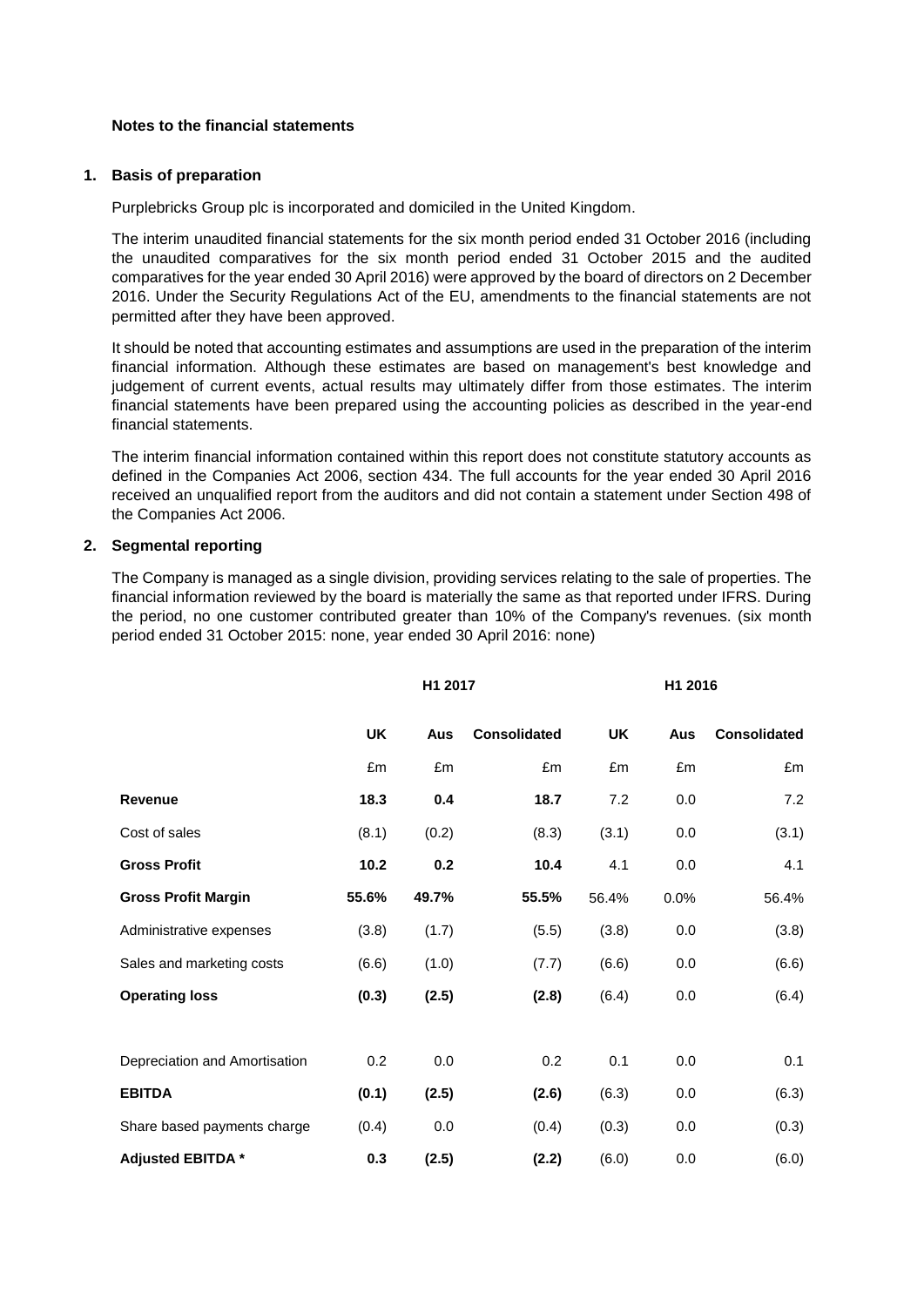#### **Notes to the financial statements**

#### **1. Basis of preparation**

Purplebricks Group plc is incorporated and domiciled in the United Kingdom.

The interim unaudited financial statements for the six month period ended 31 October 2016 (including the unaudited comparatives for the six month period ended 31 October 2015 and the audited comparatives for the year ended 30 April 2016) were approved by the board of directors on 2 December 2016. Under the Security Regulations Act of the EU, amendments to the financial statements are not permitted after they have been approved.

It should be noted that accounting estimates and assumptions are used in the preparation of the interim financial information. Although these estimates are based on management's best knowledge and judgement of current events, actual results may ultimately differ from those estimates. The interim financial statements have been prepared using the accounting policies as described in the year-end financial statements.

The interim financial information contained within this report does not constitute statutory accounts as defined in the Companies Act 2006, section 434. The full accounts for the year ended 30 April 2016 received an unqualified report from the auditors and did not contain a statement under Section 498 of the Companies Act 2006.

#### **2. Segmental reporting**

The Company is managed as a single division, providing services relating to the sale of properties. The financial information reviewed by the board is materially the same as that reported under IFRS. During the period, no one customer contributed greater than 10% of the Company's revenues. (six month period ended 31 October 2015: none, year ended 30 April 2016: none)

|                               | H1 2017   |       |                     | H1 2016   |      |                     |  |
|-------------------------------|-----------|-------|---------------------|-----------|------|---------------------|--|
|                               | <b>UK</b> | Aus   | <b>Consolidated</b> | <b>UK</b> | Aus  | <b>Consolidated</b> |  |
|                               | £m        | £m    | £m                  | £m        | £m   | £m                  |  |
| <b>Revenue</b>                | 18.3      | 0.4   | 18.7                | 7.2       | 0.0  | 7.2                 |  |
| Cost of sales                 | (8.1)     | (0.2) | (8.3)               | (3.1)     | 0.0  | (3.1)               |  |
| <b>Gross Profit</b>           | 10.2      | 0.2   | 10.4                | 4.1       | 0.0  | 4.1                 |  |
| <b>Gross Profit Margin</b>    | 55.6%     | 49.7% | 55.5%               | 56.4%     | 0.0% | 56.4%               |  |
| Administrative expenses       | (3.8)     | (1.7) | (5.5)               | (3.8)     | 0.0  | (3.8)               |  |
| Sales and marketing costs     | (6.6)     | (1.0) | (7.7)               | (6.6)     | 0.0  | (6.6)               |  |
| <b>Operating loss</b>         | (0.3)     | (2.5) | (2.8)               | (6.4)     | 0.0  | (6.4)               |  |
|                               |           |       |                     |           |      |                     |  |
| Depreciation and Amortisation | 0.2       | 0.0   | 0.2                 | 0.1       | 0.0  | 0.1                 |  |
| <b>EBITDA</b>                 | (0.1)     | (2.5) | (2.6)               | (6.3)     | 0.0  | (6.3)               |  |
| Share based payments charge   | (0.4)     | 0.0   | (0.4)               | (0.3)     | 0.0  | (0.3)               |  |
| Adjusted EBITDA *             | 0.3       | (2.5) | (2.2)               | (6.0)     | 0.0  | (6.0)               |  |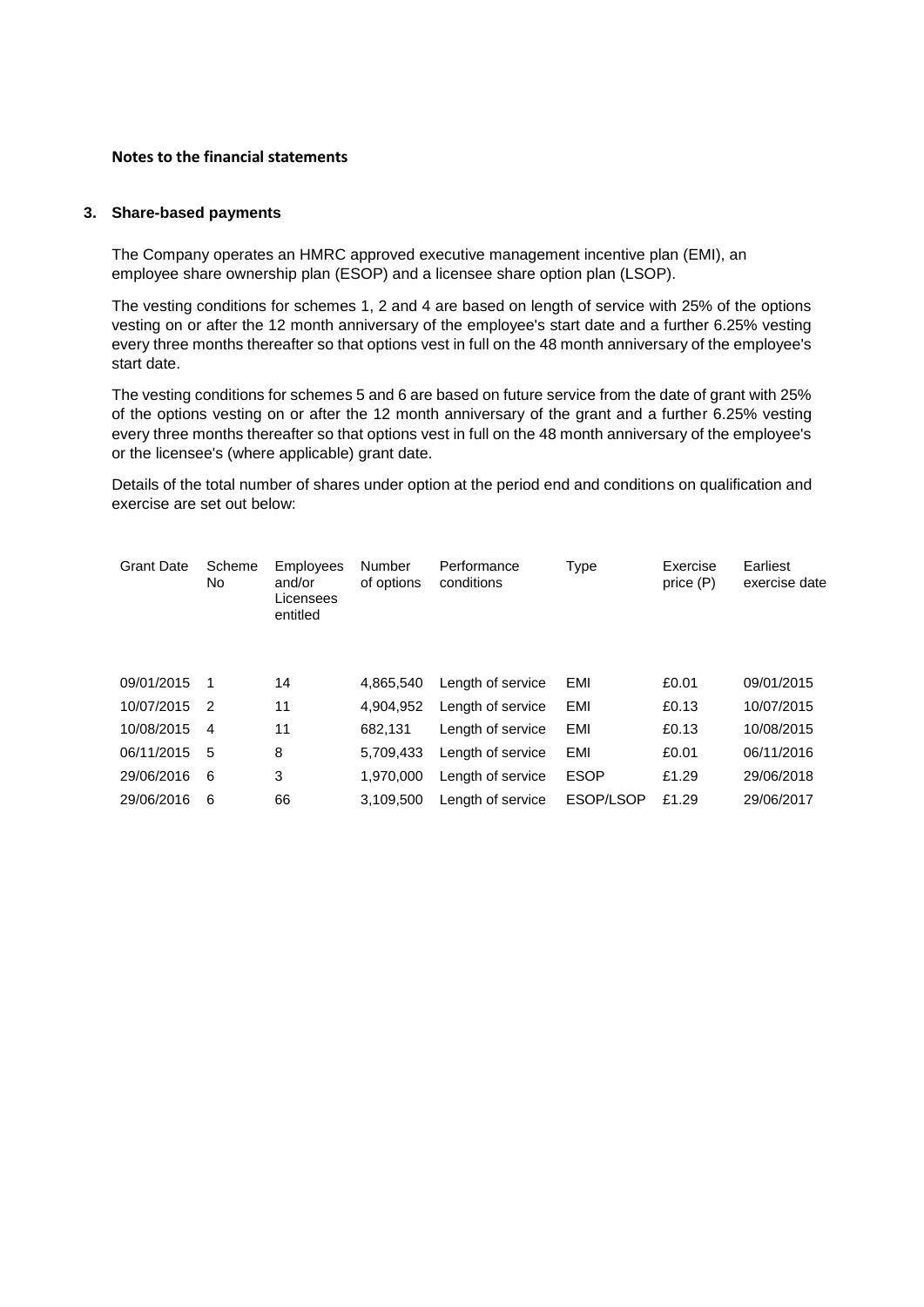#### **Notes to the financial statements**

#### **3. Share-based payments**

The Company operates an HMRC approved executive management incentive plan (EMI), an employee share ownership plan (ESOP) and a licensee share option plan (LSOP).

The vesting conditions for schemes 1, 2 and 4 are based on length of service with 25% of the options vesting on or after the 12 month anniversary of the employee's start date and a further 6.25% vesting every three months thereafter so that options vest in full on the 48 month anniversary of the employee's start date.

The vesting conditions for schemes 5 and 6 are based on future service from the date of grant with 25% of the options vesting on or after the 12 month anniversary of the grant and a further 6.25% vesting every three months thereafter so that options vest in full on the 48 month anniversary of the employee's or the licensee's (where applicable) grant date.

Details of the total number of shares under option at the period end and conditions on qualification and exercise are set out below:

| <b>Grant Date</b> | Scheme<br>No.  | Employees<br>and/or<br>Licensees<br>entitled | Number<br>of options | Performance<br>conditions | Type        | Exercise<br>price (P) | Earliest<br>exercise date |
|-------------------|----------------|----------------------------------------------|----------------------|---------------------------|-------------|-----------------------|---------------------------|
| 09/01/2015        |                | 14                                           | 4.865.540            | Length of service         | EMI         | £0.01                 | 09/01/2015                |
| 10/07/2015        | $\mathcal{P}$  | 11                                           | 4.904.952            | Length of service         | EMI         | £0.13                 | 10/07/2015                |
| 10/08/2015        | $\overline{4}$ | 11                                           | 682.131              | Length of service         | EMI         | £0.13                 | 10/08/2015                |
| 06/11/2015        | 5              | 8                                            | 5.709.433            | Length of service         | EMI         | £0.01                 | 06/11/2016                |
| 29/06/2016        | 6              | 3                                            | 1.970.000            | Length of service         | <b>ESOP</b> | £1.29                 | 29/06/2018                |
| 29/06/2016        | 6              | 66                                           | 3.109.500            | Length of service         | ESOP/LSOP   | £1.29                 | 29/06/2017                |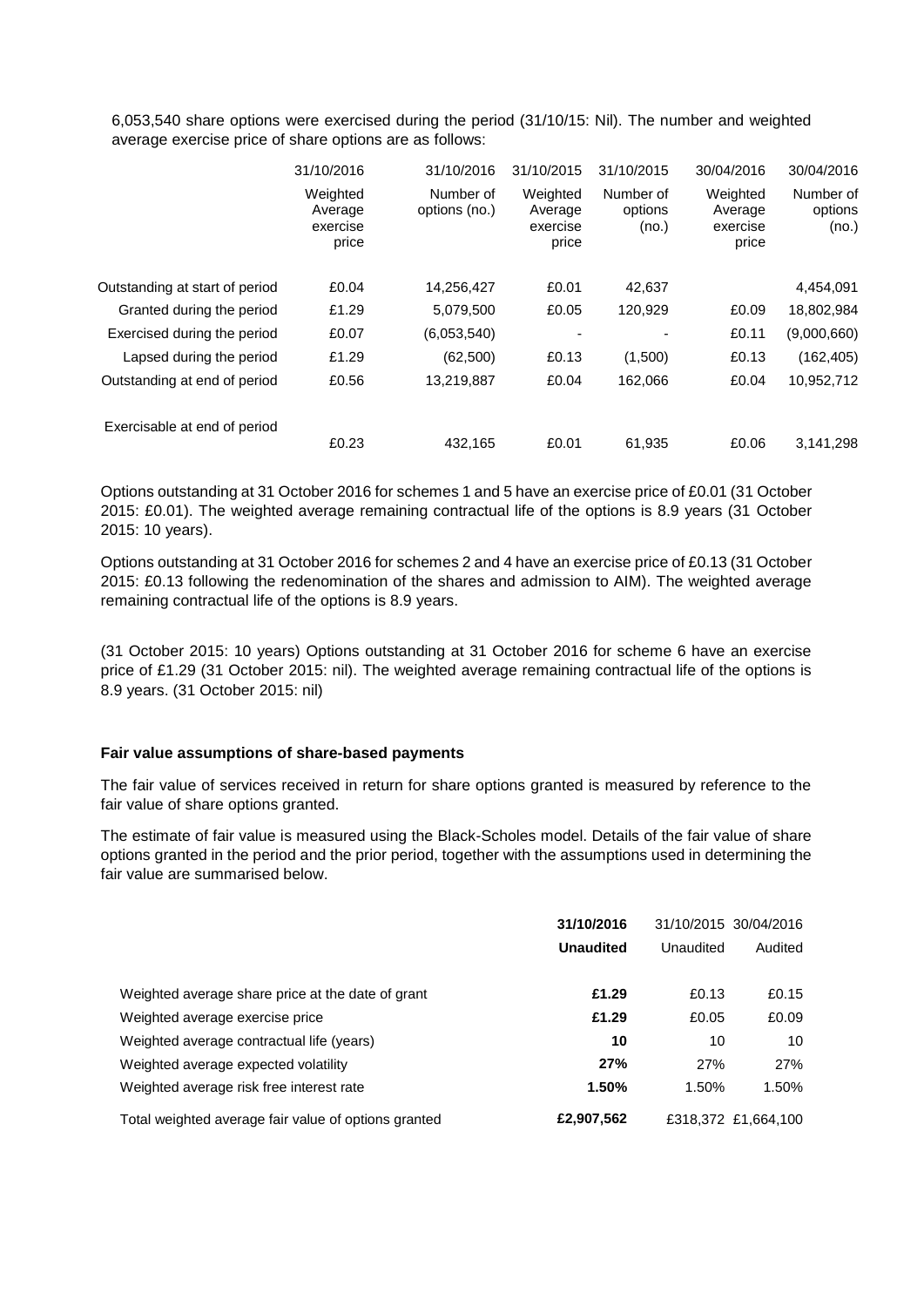6,053,540 share options were exercised during the period (31/10/15: Nil). The number and weighted average exercise price of share options are as follows:

|                                | 31/10/2016                               | 31/10/2016                 | 31/10/2015                               | 31/10/2015                    | 30/04/2016                               | 30/04/2016                    |
|--------------------------------|------------------------------------------|----------------------------|------------------------------------------|-------------------------------|------------------------------------------|-------------------------------|
|                                | Weighted<br>Average<br>exercise<br>price | Number of<br>options (no.) | Weighted<br>Average<br>exercise<br>price | Number of<br>options<br>(no.) | Weighted<br>Average<br>exercise<br>price | Number of<br>options<br>(no.) |
| Outstanding at start of period | £0.04                                    | 14,256,427                 | £0.01                                    | 42,637                        |                                          | 4,454,091                     |
| Granted during the period      | £1.29                                    | 5,079,500                  | £0.05                                    | 120,929                       | £0.09                                    | 18,802,984                    |
| Exercised during the period    | £0.07                                    | (6,053,540)                |                                          |                               | £0.11                                    | (9,000,660)                   |
| Lapsed during the period       | £1.29                                    | (62, 500)                  | £0.13                                    | (1,500)                       | £0.13                                    | (162, 405)                    |
| Outstanding at end of period   | £0.56                                    | 13,219,887                 | £0.04                                    | 162,066                       | £0.04                                    | 10,952,712                    |
| Exercisable at end of period   |                                          |                            |                                          |                               |                                          |                               |
|                                | £0.23                                    | 432.165                    | £0.01                                    | 61,935                        | £0.06                                    | 3,141,298                     |

Options outstanding at 31 October 2016 for schemes 1 and 5 have an exercise price of £0.01 (31 October 2015: £0.01). The weighted average remaining contractual life of the options is 8.9 years (31 October 2015: 10 years).

Options outstanding at 31 October 2016 for schemes 2 and 4 have an exercise price of £0.13 (31 October 2015: £0.13 following the redenomination of the shares and admission to AIM). The weighted average remaining contractual life of the options is 8.9 years.

(31 October 2015: 10 years) Options outstanding at 31 October 2016 for scheme 6 have an exercise price of £1.29 (31 October 2015: nil). The weighted average remaining contractual life of the options is 8.9 years. (31 October 2015: nil)

#### **Fair value assumptions of share-based payments**

The fair value of services received in return for share options granted is measured by reference to the fair value of share options granted.

The estimate of fair value is measured using the Black-Scholes model. Details of the fair value of share options granted in the period and the prior period, together with the assumptions used in determining the fair value are summarised below.

|                                                      | 31/10/2016       |           | 31/10/2015 30/04/2016 |  |
|------------------------------------------------------|------------------|-----------|-----------------------|--|
|                                                      | <b>Unaudited</b> | Unaudited | Audited               |  |
|                                                      |                  |           |                       |  |
| Weighted average share price at the date of grant    | £1.29            | £0.13     | £0.15                 |  |
| Weighted average exercise price                      | £1.29            | £0.05     | £0.09                 |  |
| Weighted average contractual life (years)            | 10               | 10        | 10                    |  |
| Weighted average expected volatility                 | 27%              | 27%       | 27%                   |  |
| Weighted average risk free interest rate             | 1.50%            | 1.50%     | 1.50%                 |  |
| Total weighted average fair value of options granted | £2,907,562       |           | £318.372 £1.664.100   |  |